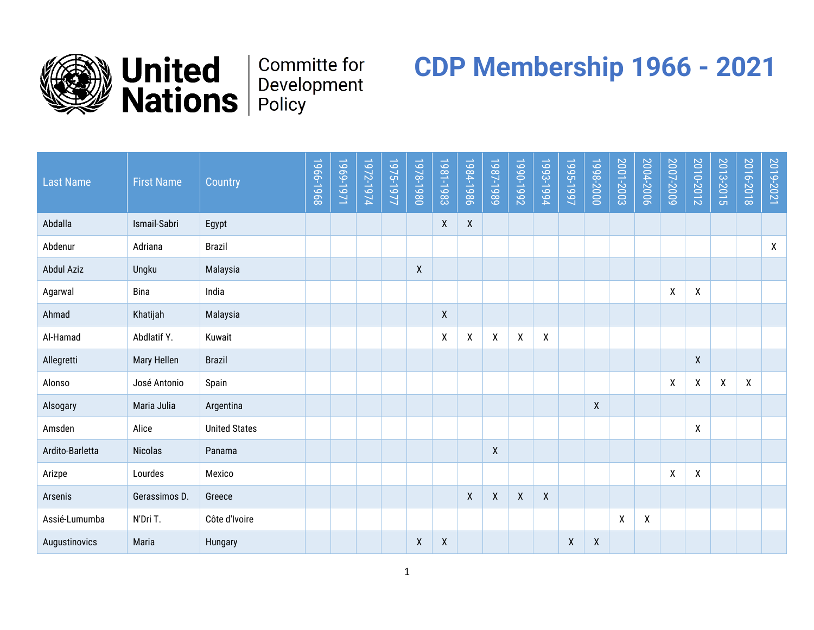



## **Committe for**

## **CDP Membership 1966 - 2021**

| <b>Last Name</b>  | <b>First Name</b> | Country              | 1966-1968 | 1969-1971 | 1972-1974 | 1975-1977 | 1978-1980    | 1981-1983                 | 1984-1986 | 1987-1989 | 1990-1992 | 1993-1994 | 1995-1997 | 1998-2000 | 2001-2003 | 2004-2006 | 2007-2009 | 2010-2012 | 2013-2015        | 2016-2018 | 2019-2021    |
|-------------------|-------------------|----------------------|-----------|-----------|-----------|-----------|--------------|---------------------------|-----------|-----------|-----------|-----------|-----------|-----------|-----------|-----------|-----------|-----------|------------------|-----------|--------------|
| Abdalla           | Ismail-Sabri      | Egypt                |           |           |           |           |              | $\boldsymbol{X}$          | X         |           |           |           |           |           |           |           |           |           |                  |           |              |
| Abdenur           | Adriana           | <b>Brazil</b>        |           |           |           |           |              |                           |           |           |           |           |           |           |           |           |           |           |                  |           | $\mathsf{X}$ |
| <b>Abdul Aziz</b> | Ungku             | Malaysia             |           |           |           |           | $\mathsf{X}$ |                           |           |           |           |           |           |           |           |           |           |           |                  |           |              |
| Agarwal           | <b>Bina</b>       | India                |           |           |           |           |              |                           |           |           |           |           |           |           |           |           | χ         | χ         |                  |           |              |
| Ahmad             | Khatijah          | Malaysia             |           |           |           |           |              | $\boldsymbol{X}$          |           |           |           |           |           |           |           |           |           |           |                  |           |              |
| Al-Hamad          | Abdlatif Y.       | Kuwait               |           |           |           |           |              | $\boldsymbol{\mathsf{X}}$ | χ         | χ         | χ         | X         |           |           |           |           |           |           |                  |           |              |
| Allegretti        | Mary Hellen       | <b>Brazil</b>        |           |           |           |           |              |                           |           |           |           |           |           |           |           |           |           | X         |                  |           |              |
| Alonso            | José Antonio      | Spain                |           |           |           |           |              |                           |           |           |           |           |           |           |           |           | χ         | X         | $\boldsymbol{X}$ | X         |              |
| Alsogary          | Maria Julia       | Argentina            |           |           |           |           |              |                           |           |           |           |           |           | X         |           |           |           |           |                  |           |              |
| Amsden            | Alice             | <b>United States</b> |           |           |           |           |              |                           |           |           |           |           |           |           |           |           |           | X         |                  |           |              |
| Ardito-Barletta   | <b>Nicolas</b>    | Panama               |           |           |           |           |              |                           |           | X         |           |           |           |           |           |           |           |           |                  |           |              |
| Arizpe            | Lourdes           | Mexico               |           |           |           |           |              |                           |           |           |           |           |           |           |           |           | χ         | χ         |                  |           |              |
| Arsenis           | Gerassimos D.     | Greece               |           |           |           |           |              |                           | χ         | χ         | χ         | X         |           |           |           |           |           |           |                  |           |              |
| Assié-Lumumba     | N'Dri T.          | Côte d'Ivoire        |           |           |           |           |              |                           |           |           |           |           |           |           | X         | Χ         |           |           |                  |           |              |
| Augustinovics     | Maria             | Hungary              |           |           |           |           | χ            | X                         |           |           |           |           | X         | X         |           |           |           |           |                  |           |              |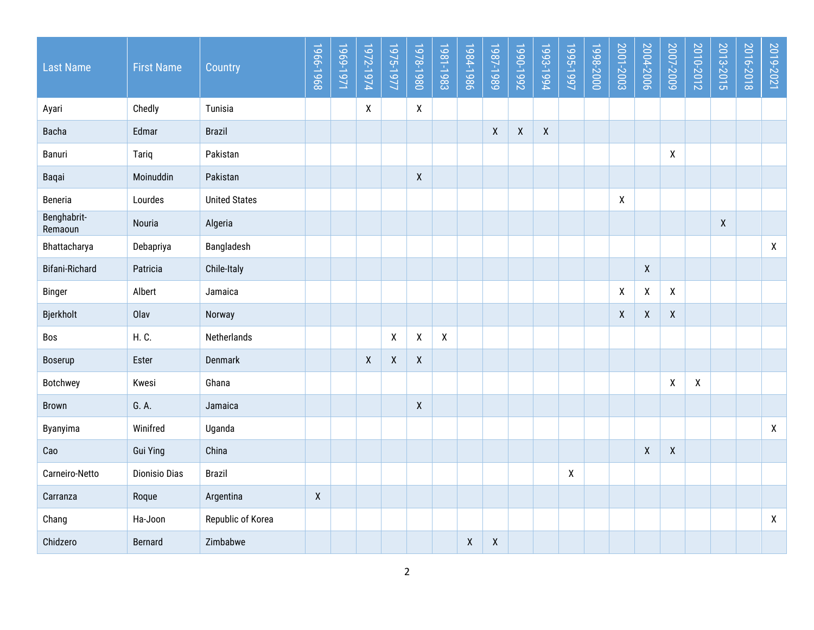| <b>Last Name</b>       | <b>First Name</b>    | Country              | 1966-1968          | 1969-1971 | 1972-1974    | 1975-1977          | 1978-1980          | 1981-1983    | 1984-1986          | 1987-1989          | Z661-066L    | 1993-1994        | 1995-1997 | 1998-2000 | 2001-2003          | 2004-2006          | 2007-2009          | 2010-2012        | 2013-2015    | 2016-2018 | 2019-2021          |
|------------------------|----------------------|----------------------|--------------------|-----------|--------------|--------------------|--------------------|--------------|--------------------|--------------------|--------------|------------------|-----------|-----------|--------------------|--------------------|--------------------|------------------|--------------|-----------|--------------------|
| Ayari                  | Chedly               | Tunisia              |                    |           | $\mathsf{X}$ |                    | $\mathsf{X}$       |              |                    |                    |              |                  |           |           |                    |                    |                    |                  |              |           |                    |
| <b>Bacha</b>           | Edmar                | <b>Brazil</b>        |                    |           |              |                    |                    |              |                    | $\boldsymbol{X}$   | $\pmb{\chi}$ | $\boldsymbol{X}$ |           |           |                    |                    |                    |                  |              |           |                    |
| Banuri                 | Tariq                | Pakistan             |                    |           |              |                    |                    |              |                    |                    |              |                  |           |           |                    |                    | X                  |                  |              |           |                    |
| Baqai                  | Moinuddin            | Pakistan             |                    |           |              |                    | $\pmb{\chi}$       |              |                    |                    |              |                  |           |           |                    |                    |                    |                  |              |           |                    |
| Beneria                | Lourdes              | <b>United States</b> |                    |           |              |                    |                    |              |                    |                    |              |                  |           |           | X                  |                    |                    |                  |              |           |                    |
| Benghabrit-<br>Remaoun | Nouria               | Algeria              |                    |           |              |                    |                    |              |                    |                    |              |                  |           |           |                    |                    |                    |                  | $\mathsf{X}$ |           |                    |
| Bhattacharya           | Debapriya            | Bangladesh           |                    |           |              |                    |                    |              |                    |                    |              |                  |           |           |                    |                    |                    |                  |              |           | $\mathsf{X}$       |
| <b>Bifani-Richard</b>  | Patricia             | Chile-Italy          |                    |           |              |                    |                    |              |                    |                    |              |                  |           |           |                    | $\mathsf{X}$       |                    |                  |              |           |                    |
| <b>Binger</b>          | Albert               | Jamaica              |                    |           |              |                    |                    |              |                    |                    |              |                  |           |           | $\pmb{\mathsf{X}}$ | $\pmb{\mathsf{X}}$ | $\mathsf{X}$       |                  |              |           |                    |
| Bjerkholt              | Olav                 | Norway               |                    |           |              |                    |                    |              |                    |                    |              |                  |           |           | X                  | X                  | $\pmb{\mathsf{X}}$ |                  |              |           |                    |
| Bos                    | H. C.                | Netherlands          |                    |           |              | $\pmb{\mathsf{X}}$ | $\pmb{\mathsf{X}}$ | $\pmb{\chi}$ |                    |                    |              |                  |           |           |                    |                    |                    |                  |              |           |                    |
| Boserup                | Ester                | Denmark              |                    |           | X            | $\boldsymbol{X}$   | $\mathsf{X}$       |              |                    |                    |              |                  |           |           |                    |                    |                    |                  |              |           |                    |
| Botchwey               | Kwesi                | Ghana                |                    |           |              |                    |                    |              |                    |                    |              |                  |           |           |                    |                    | χ                  | $\boldsymbol{X}$ |              |           |                    |
| <b>Brown</b>           | G. A.                | Jamaica              |                    |           |              |                    | $\pmb{\mathsf{X}}$ |              |                    |                    |              |                  |           |           |                    |                    |                    |                  |              |           |                    |
| Byanyima               | Winifred             | Uganda               |                    |           |              |                    |                    |              |                    |                    |              |                  |           |           |                    |                    |                    |                  |              |           | $\pmb{\mathsf{X}}$ |
| Cao                    | <b>Gui Ying</b>      | China                |                    |           |              |                    |                    |              |                    |                    |              |                  |           |           |                    | $\mathsf{X}$       | $\pmb{\mathsf{X}}$ |                  |              |           |                    |
| Carneiro-Netto         | <b>Dionisio Dias</b> | <b>Brazil</b>        |                    |           |              |                    |                    |              |                    |                    |              |                  | X         |           |                    |                    |                    |                  |              |           |                    |
| Carranza               | Roque                | Argentina            | $\pmb{\mathsf{X}}$ |           |              |                    |                    |              |                    |                    |              |                  |           |           |                    |                    |                    |                  |              |           |                    |
| Chang                  | Ha-Joon              | Republic of Korea    |                    |           |              |                    |                    |              |                    |                    |              |                  |           |           |                    |                    |                    |                  |              |           | $\mathsf{X}$       |
| Chidzero               | <b>Bernard</b>       | Zimbabwe             |                    |           |              |                    |                    |              | $\pmb{\mathsf{X}}$ | $\pmb{\mathsf{X}}$ |              |                  |           |           |                    |                    |                    |                  |              |           |                    |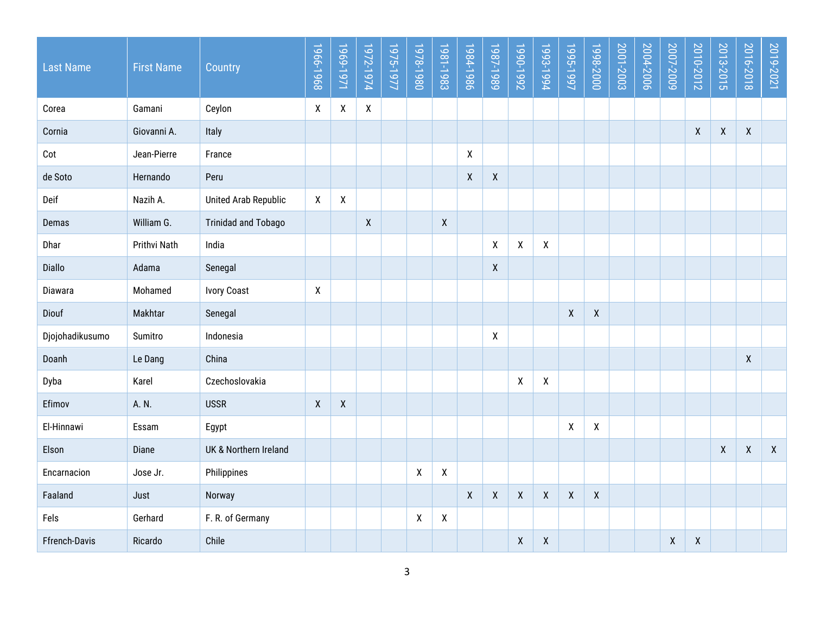| <b>Last Name</b> | <b>First Name</b> | Country                     | 1966-1968          | 1969-1971          | 1972-1974    | 1975-1977 | 1978-1980          | 1981-1983          | 1984-1986          | 1987-1989                 | 1990-1992          | 1993-1994          | 1995-1997          | 1998-2000          | 2001-2003 | 2004-2006 | 2007-2009          | 2010-2012        | 2013-2015    | 2016-2018    | 2019-2021    |
|------------------|-------------------|-----------------------------|--------------------|--------------------|--------------|-----------|--------------------|--------------------|--------------------|---------------------------|--------------------|--------------------|--------------------|--------------------|-----------|-----------|--------------------|------------------|--------------|--------------|--------------|
| Corea            | Gamani            | Ceylon                      | χ                  | $\pmb{\mathsf{X}}$ | $\mathsf{X}$ |           |                    |                    |                    |                           |                    |                    |                    |                    |           |           |                    |                  |              |              |              |
| Cornia           | Giovanni A.       | Italy                       |                    |                    |              |           |                    |                    |                    |                           |                    |                    |                    |                    |           |           |                    | $\boldsymbol{X}$ | $\mathsf{X}$ | $\mathsf{X}$ |              |
| $\cot$           | Jean-Pierre       | France                      |                    |                    |              |           |                    |                    | X                  |                           |                    |                    |                    |                    |           |           |                    |                  |              |              |              |
| de Soto          | Hernando          | Peru                        |                    |                    |              |           |                    |                    | $\pmb{\mathsf{X}}$ | $\pmb{\chi}$              |                    |                    |                    |                    |           |           |                    |                  |              |              |              |
| Deif             | Nazih A.          | <b>United Arab Republic</b> | X                  | $\boldsymbol{X}$   |              |           |                    |                    |                    |                           |                    |                    |                    |                    |           |           |                    |                  |              |              |              |
| Demas            | William G.        | <b>Trinidad and Tobago</b>  |                    |                    | $\mathsf{X}$ |           |                    | $\boldsymbol{X}$   |                    |                           |                    |                    |                    |                    |           |           |                    |                  |              |              |              |
| Dhar             | Prithvi Nath      | India                       |                    |                    |              |           |                    |                    |                    | $\boldsymbol{\mathsf{X}}$ | X                  | χ                  |                    |                    |           |           |                    |                  |              |              |              |
| Diallo           | Adama             | Senegal                     |                    |                    |              |           |                    |                    |                    | $\mathsf{X}$              |                    |                    |                    |                    |           |           |                    |                  |              |              |              |
| Diawara          | Mohamed           | <b>Ivory Coast</b>          | χ                  |                    |              |           |                    |                    |                    |                           |                    |                    |                    |                    |           |           |                    |                  |              |              |              |
| Diouf            | Makhtar           | Senegal                     |                    |                    |              |           |                    |                    |                    |                           |                    |                    | $\pmb{\mathsf{X}}$ | χ                  |           |           |                    |                  |              |              |              |
| Djojohadikusumo  | Sumitro           | Indonesia                   |                    |                    |              |           |                    |                    |                    | $\boldsymbol{X}$          |                    |                    |                    |                    |           |           |                    |                  |              |              |              |
| Doanh            | Le Dang           | China                       |                    |                    |              |           |                    |                    |                    |                           |                    |                    |                    |                    |           |           |                    |                  |              | $\mathsf{X}$ |              |
| Dyba             | Karel             | Czechoslovakia              |                    |                    |              |           |                    |                    |                    |                           | X                  | χ                  |                    |                    |           |           |                    |                  |              |              |              |
| Efimov           | A. N.             | <b>USSR</b>                 | $\pmb{\mathsf{X}}$ | $\boldsymbol{X}$   |              |           |                    |                    |                    |                           |                    |                    |                    |                    |           |           |                    |                  |              |              |              |
| El-Hinnawi       | Essam             | Egypt                       |                    |                    |              |           |                    |                    |                    |                           |                    |                    | $\pmb{\mathsf{X}}$ | χ                  |           |           |                    |                  |              |              |              |
| Elson            | Diane             | UK & Northern Ireland       |                    |                    |              |           |                    |                    |                    |                           |                    |                    |                    |                    |           |           |                    |                  | $\mathsf{X}$ | $\mathsf{X}$ | $\mathsf{X}$ |
| Encarnacion      | Jose Jr.          | Philippines                 |                    |                    |              |           | $\boldsymbol{X}$   | $\pmb{\mathsf{X}}$ |                    |                           |                    |                    |                    |                    |           |           |                    |                  |              |              |              |
| Faaland          | Just              | Norway                      |                    |                    |              |           |                    |                    | $\pmb{\mathsf{X}}$ | $\pmb{\chi}$              | $\mathsf{X}$       | $\pmb{\mathsf{X}}$ | $\pmb{\mathsf{X}}$ | $\pmb{\mathsf{X}}$ |           |           |                    |                  |              |              |              |
| Fels             | Gerhard           | F. R. of Germany            |                    |                    |              |           | $\pmb{\mathsf{X}}$ | χ                  |                    |                           |                    |                    |                    |                    |           |           |                    |                  |              |              |              |
| Ffrench-Davis    | Ricardo           | Chile                       |                    |                    |              |           |                    |                    |                    |                           | $\pmb{\mathsf{X}}$ | $\pmb{\mathsf{X}}$ |                    |                    |           |           | $\pmb{\mathsf{X}}$ | $\mathsf{X}$     |              |              |              |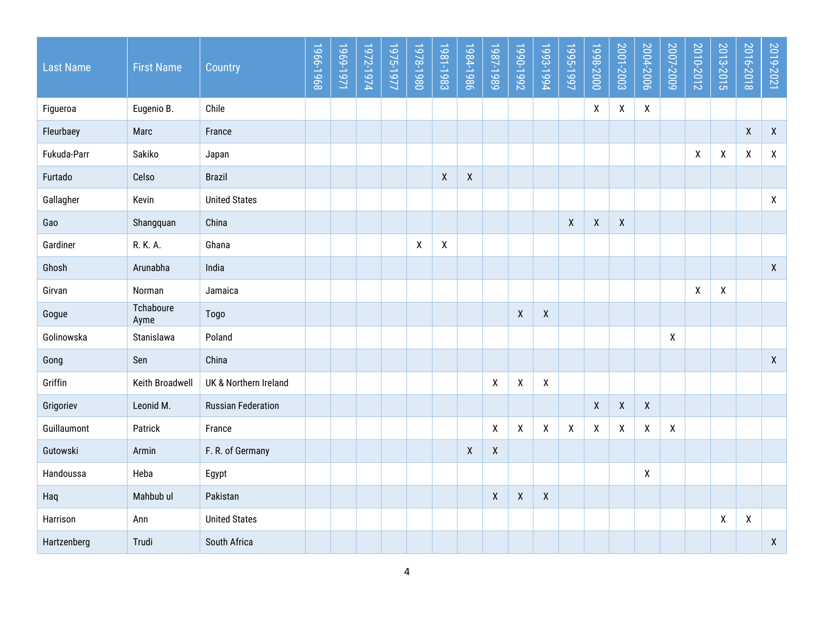| <b>Last Name</b> | <b>First Name</b> | Country                   | 1966-1968 | 1969-1971 | 1972-1974 | 1975-1977 | 1978-1980    | 1981-1983    | 1984-1986          | 1987-1989           | Z661-066L          | 1993-1994          | 1995-1997    | 1998-2000          | 2001-2003    | 2004-2006    | 2007-2009    | 2010-2012          | 2013-2015          | 2016-2018          | 2019-2021    |
|------------------|-------------------|---------------------------|-----------|-----------|-----------|-----------|--------------|--------------|--------------------|---------------------|--------------------|--------------------|--------------|--------------------|--------------|--------------|--------------|--------------------|--------------------|--------------------|--------------|
| Figueroa         | Eugenio B.        | Chile                     |           |           |           |           |              |              |                    |                     |                    |                    |              | X                  | $\mathsf{X}$ | $\mathsf{X}$ |              |                    |                    |                    |              |
| Fleurbaey        | Marc              | France                    |           |           |           |           |              |              |                    |                     |                    |                    |              |                    |              |              |              |                    |                    | $\pmb{\mathsf{X}}$ | $\pmb{\chi}$ |
| Fukuda-Parr      | Sakiko            | Japan                     |           |           |           |           |              |              |                    |                     |                    |                    |              |                    |              |              |              | χ                  | χ                  | X                  | $\mathsf{X}$ |
| Furtado          | Celso             | <b>Brazil</b>             |           |           |           |           |              | $\pmb{\chi}$ | $\pmb{\mathsf{X}}$ |                     |                    |                    |              |                    |              |              |              |                    |                    |                    |              |
| Gallagher        | Kevin             | <b>United States</b>      |           |           |           |           |              |              |                    |                     |                    |                    |              |                    |              |              |              |                    |                    |                    | $\mathsf{X}$ |
| Gao              | Shangquan         | China                     |           |           |           |           |              |              |                    |                     |                    |                    | $\mathsf{X}$ | $\pmb{\mathsf{X}}$ | $\mathsf{X}$ |              |              |                    |                    |                    |              |
| Gardiner         | R. K. A.          | Ghana                     |           |           |           |           | $\mathsf{X}$ | χ            |                    |                     |                    |                    |              |                    |              |              |              |                    |                    |                    |              |
| Ghosh            | Arunabha          | India                     |           |           |           |           |              |              |                    |                     |                    |                    |              |                    |              |              |              |                    |                    |                    | $\mathsf{X}$ |
| Girvan           | Norman            | Jamaica                   |           |           |           |           |              |              |                    |                     |                    |                    |              |                    |              |              |              | $\pmb{\mathsf{X}}$ | $\pmb{\mathsf{X}}$ |                    |              |
| Gogue            | Tchaboure<br>Ayme | Togo                      |           |           |           |           |              |              |                    |                     | χ                  | $\pmb{\mathsf{X}}$ |              |                    |              |              |              |                    |                    |                    |              |
| Golinowska       | Stanislawa        | Poland                    |           |           |           |           |              |              |                    |                     |                    |                    |              |                    |              |              | $\mathsf{X}$ |                    |                    |                    |              |
| Gong             | Sen               | China                     |           |           |           |           |              |              |                    |                     |                    |                    |              |                    |              |              |              |                    |                    |                    | $\mathsf{X}$ |
| Griffin          | Keith Broadwell   | UK & Northern Ireland     |           |           |           |           |              |              |                    | χ                   | $\pmb{\mathsf{X}}$ | X                  |              |                    |              |              |              |                    |                    |                    |              |
| Grigoriev        | Leonid M.         | <b>Russian Federation</b> |           |           |           |           |              |              |                    |                     |                    |                    |              | $\pmb{\mathsf{X}}$ | $\mathsf X$  | $\mathsf{X}$ |              |                    |                    |                    |              |
| Guillaumont      | Patrick           | France                    |           |           |           |           |              |              |                    | χ                   | χ                  | χ                  | X            | X                  | X            | X            | X            |                    |                    |                    |              |
| Gutowski         | Armin             | F. R. of Germany          |           |           |           |           |              |              | $\pmb{\mathsf{X}}$ | $\pmb{\mathsf{X}}$  |                    |                    |              |                    |              |              |              |                    |                    |                    |              |
| Handoussa        | Heba              | Egypt                     |           |           |           |           |              |              |                    |                     |                    |                    |              |                    |              | X            |              |                    |                    |                    |              |
| Haq              | Mahbub ul         | Pakistan                  |           |           |           |           |              |              |                    | $\boldsymbol{\chi}$ | $\pmb{\mathsf{X}}$ | $\pmb{\mathsf{X}}$ |              |                    |              |              |              |                    |                    |                    |              |
| Harrison         | Ann               | <b>United States</b>      |           |           |           |           |              |              |                    |                     |                    |                    |              |                    |              |              |              |                    | χ                  | X                  |              |
| Hartzenberg      | Trudi             | South Africa              |           |           |           |           |              |              |                    |                     |                    |                    |              |                    |              |              |              |                    |                    |                    | $\mathsf X$  |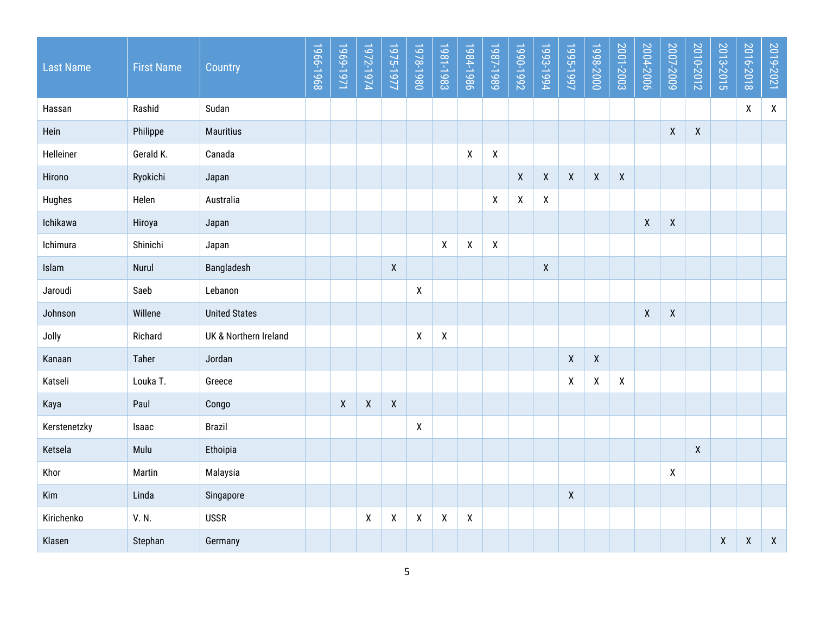| <b>Last Name</b> | <b>First Name</b> | Country               | 1966-1968 | 1969-1971        | 1972-1974          | 1975-1977                 | 1978-1980          | 1981-1983        | 1984-1986    | 1987-1989          | 1990-1992 | 1993-1994    | 1995-1997          | 1998-2000          | <u>Z001-2003</u> | 2004-2006          | 2007-2009          | 2010-2012          | 2013-2015          | 2016-2018          | 2019-2021    |
|------------------|-------------------|-----------------------|-----------|------------------|--------------------|---------------------------|--------------------|------------------|--------------|--------------------|-----------|--------------|--------------------|--------------------|------------------|--------------------|--------------------|--------------------|--------------------|--------------------|--------------|
| Hassan           | Rashid            | Sudan                 |           |                  |                    |                           |                    |                  |              |                    |           |              |                    |                    |                  |                    |                    |                    |                    | $\mathsf{X}$       | $\mathsf{X}$ |
| Hein             | Philippe          | <b>Mauritius</b>      |           |                  |                    |                           |                    |                  |              |                    |           |              |                    |                    |                  |                    | $\pmb{\mathsf{X}}$ | $\pmb{\mathsf{X}}$ |                    |                    |              |
| Helleiner        | Gerald K.         | Canada                |           |                  |                    |                           |                    |                  | χ            | χ                  |           |              |                    |                    |                  |                    |                    |                    |                    |                    |              |
| Hirono           | Ryokichi          | Japan                 |           |                  |                    |                           |                    |                  |              |                    | X         | $\mathsf{X}$ | $\mathsf{X}$       | $\mathsf{X}$       | $\mathsf{X}$     |                    |                    |                    |                    |                    |              |
| Hughes           | Helen             | Australia             |           |                  |                    |                           |                    |                  |              | χ                  | X         | X            |                    |                    |                  |                    |                    |                    |                    |                    |              |
| Ichikawa         | Hiroya            | Japan                 |           |                  |                    |                           |                    |                  |              |                    |           |              |                    |                    |                  | $\pmb{\mathsf{X}}$ | $\mathsf{X}$       |                    |                    |                    |              |
| Ichimura         | Shinichi          | Japan                 |           |                  |                    |                           |                    | $\boldsymbol{X}$ | χ            | $\pmb{\mathsf{X}}$ |           |              |                    |                    |                  |                    |                    |                    |                    |                    |              |
| Islam            | Nurul             | Bangladesh            |           |                  |                    | $\boldsymbol{\mathsf{X}}$ |                    |                  |              |                    |           | $\pmb{\chi}$ |                    |                    |                  |                    |                    |                    |                    |                    |              |
| Jaroudi          | Saeb              | Lebanon               |           |                  |                    |                           | $\mathsf{X}$       |                  |              |                    |           |              |                    |                    |                  |                    |                    |                    |                    |                    |              |
| Johnson          | Willene           | <b>United States</b>  |           |                  |                    |                           |                    |                  |              |                    |           |              |                    |                    |                  | $\boldsymbol{X}$   | $\mathsf{X}$       |                    |                    |                    |              |
| Jolly            | Richard           | UK & Northern Ireland |           |                  |                    |                           | $\pmb{\mathsf{X}}$ | $\boldsymbol{X}$ |              |                    |           |              |                    |                    |                  |                    |                    |                    |                    |                    |              |
| Kanaan           | Taher             | Jordan                |           |                  |                    |                           |                    |                  |              |                    |           |              | $\pmb{\mathsf{X}}$ | $\mathsf{X}$       |                  |                    |                    |                    |                    |                    |              |
| Katseli          | Louka T.          | Greece                |           |                  |                    |                           |                    |                  |              |                    |           |              | X                  | $\pmb{\mathsf{X}}$ | $\mathsf{X}$     |                    |                    |                    |                    |                    |              |
| Kaya             | Paul              | Congo                 |           | $\boldsymbol{X}$ | $\pmb{\mathsf{X}}$ | $\mathsf{X}$              |                    |                  |              |                    |           |              |                    |                    |                  |                    |                    |                    |                    |                    |              |
| Kerstenetzky     | Isaac             | Brazil                |           |                  |                    |                           | χ                  |                  |              |                    |           |              |                    |                    |                  |                    |                    |                    |                    |                    |              |
| Ketsela          | Mulu              | Ethoipia              |           |                  |                    |                           |                    |                  |              |                    |           |              |                    |                    |                  |                    |                    | $\mathsf{X}$       |                    |                    |              |
| Khor             | Martin            | Malaysia              |           |                  |                    |                           |                    |                  |              |                    |           |              |                    |                    |                  |                    | X                  |                    |                    |                    |              |
| Kim              | Linda             | Singapore             |           |                  |                    |                           |                    |                  |              |                    |           |              | $\pmb{\mathsf{X}}$ |                    |                  |                    |                    |                    |                    |                    |              |
| Kirichenko       | V.N.              | <b>USSR</b>           |           |                  | $\pmb{\mathsf{X}}$ | $\pmb{\chi}$              | $\mathsf{X}$       | $\boldsymbol{X}$ | $\mathsf{X}$ |                    |           |              |                    |                    |                  |                    |                    |                    |                    |                    |              |
| Klasen           | Stephan           | Germany               |           |                  |                    |                           |                    |                  |              |                    |           |              |                    |                    |                  |                    |                    |                    | $\pmb{\mathsf{X}}$ | $\pmb{\mathsf{X}}$ | $\mathsf X$  |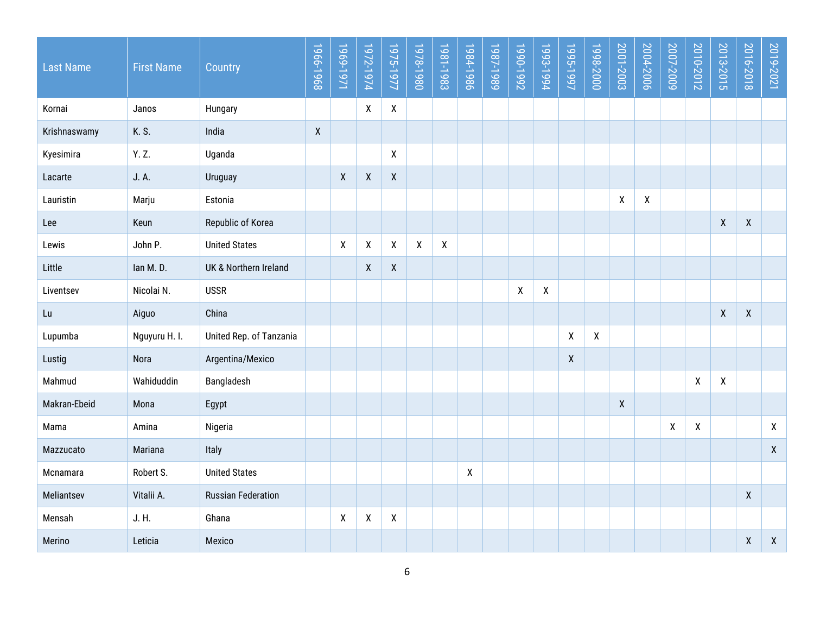| <b>Last Name</b> | <b>First Name</b> | Country                   | 1966-1968    | 1969-1971    | 1972-1974          | 1975-1977                 | 1978-1980    | 1981-1983    | 1984-1986 | 1987-1989 | 1990-1992    | 1993-1994          | 1995-1997          | 1998-2000    | 2001-2003          | 2004-2006          | 2007-2009 | 2010-2012 | 2013-2015          | 2016-2018          | 2019-2021          |
|------------------|-------------------|---------------------------|--------------|--------------|--------------------|---------------------------|--------------|--------------|-----------|-----------|--------------|--------------------|--------------------|--------------|--------------------|--------------------|-----------|-----------|--------------------|--------------------|--------------------|
| Kornai           | Janos             | Hungary                   |              |              | $\pmb{\mathsf{X}}$ | $\pmb{\chi}$              |              |              |           |           |              |                    |                    |              |                    |                    |           |           |                    |                    |                    |
| Krishnaswamy     | K. S.             | India                     | $\mathsf{X}$ |              |                    |                           |              |              |           |           |              |                    |                    |              |                    |                    |           |           |                    |                    |                    |
| Kyesimira        | Y. Z.             | Uganda                    |              |              |                    | $\boldsymbol{\mathsf{X}}$ |              |              |           |           |              |                    |                    |              |                    |                    |           |           |                    |                    |                    |
| Lacarte          | J. A.             | Uruguay                   |              | $\pmb{\chi}$ | $\pmb{\mathsf{X}}$ | $\mathsf{X}$              |              |              |           |           |              |                    |                    |              |                    |                    |           |           |                    |                    |                    |
| Lauristin        | Marju             | Estonia                   |              |              |                    |                           |              |              |           |           |              |                    |                    |              | $\pmb{\mathsf{X}}$ | $\pmb{\mathsf{X}}$ |           |           |                    |                    |                    |
| Lee              | Keun              | Republic of Korea         |              |              |                    |                           |              |              |           |           |              |                    |                    |              |                    |                    |           |           | $\pmb{\mathsf{X}}$ | $\mathsf{X}$       |                    |
| Lewis            | John P.           | <b>United States</b>      |              | X            | $\pmb{\mathsf{X}}$ | $\pmb{\mathsf{X}}$        | $\mathsf{X}$ | $\mathsf{X}$ |           |           |              |                    |                    |              |                    |                    |           |           |                    |                    |                    |
| Little           | lan M.D.          | UK & Northern Ireland     |              |              | $\pmb{\mathsf{X}}$ | $\mathsf{X}$              |              |              |           |           |              |                    |                    |              |                    |                    |           |           |                    |                    |                    |
| Liventsev        | Nicolai N.        | <b>USSR</b>               |              |              |                    |                           |              |              |           |           | $\pmb{\chi}$ | $\pmb{\mathsf{X}}$ |                    |              |                    |                    |           |           |                    |                    |                    |
| Lu               | Aiguo             | China                     |              |              |                    |                           |              |              |           |           |              |                    |                    |              |                    |                    |           |           | $\pmb{\mathsf{X}}$ | χ                  |                    |
| Lupumba          | Nguyuru H. I.     | United Rep. of Tanzania   |              |              |                    |                           |              |              |           |           |              |                    | X                  | $\mathsf{X}$ |                    |                    |           |           |                    |                    |                    |
| Lustig           | Nora              | Argentina/Mexico          |              |              |                    |                           |              |              |           |           |              |                    | $\pmb{\mathsf{X}}$ |              |                    |                    |           |           |                    |                    |                    |
| Mahmud           | Wahiduddin        | Bangladesh                |              |              |                    |                           |              |              |           |           |              |                    |                    |              |                    |                    |           | X         | X                  |                    |                    |
| Makran-Ebeid     | Mona              | Egypt                     |              |              |                    |                           |              |              |           |           |              |                    |                    |              | $\mathsf{X}$       |                    |           |           |                    |                    |                    |
| Mama             | Amina             | Nigeria                   |              |              |                    |                           |              |              |           |           |              |                    |                    |              |                    |                    | χ         | X         |                    |                    | $\mathsf{X}$       |
| Mazzucato        | Mariana           | Italy                     |              |              |                    |                           |              |              |           |           |              |                    |                    |              |                    |                    |           |           |                    |                    | $\pmb{\mathsf{X}}$ |
| Mcnamara         | Robert S.         | <b>United States</b>      |              |              |                    |                           |              |              | Χ         |           |              |                    |                    |              |                    |                    |           |           |                    |                    |                    |
| Meliantsev       | Vitalii A.        | <b>Russian Federation</b> |              |              |                    |                           |              |              |           |           |              |                    |                    |              |                    |                    |           |           |                    | X                  |                    |
| Mensah           | J. H.             | Ghana                     |              | X            | $\pmb{\mathsf{X}}$ | $\boldsymbol{X}$          |              |              |           |           |              |                    |                    |              |                    |                    |           |           |                    |                    |                    |
| Merino           | Leticia           | Mexico                    |              |              |                    |                           |              |              |           |           |              |                    |                    |              |                    |                    |           |           |                    | $\pmb{\mathsf{X}}$ | $\pmb{\mathsf{X}}$ |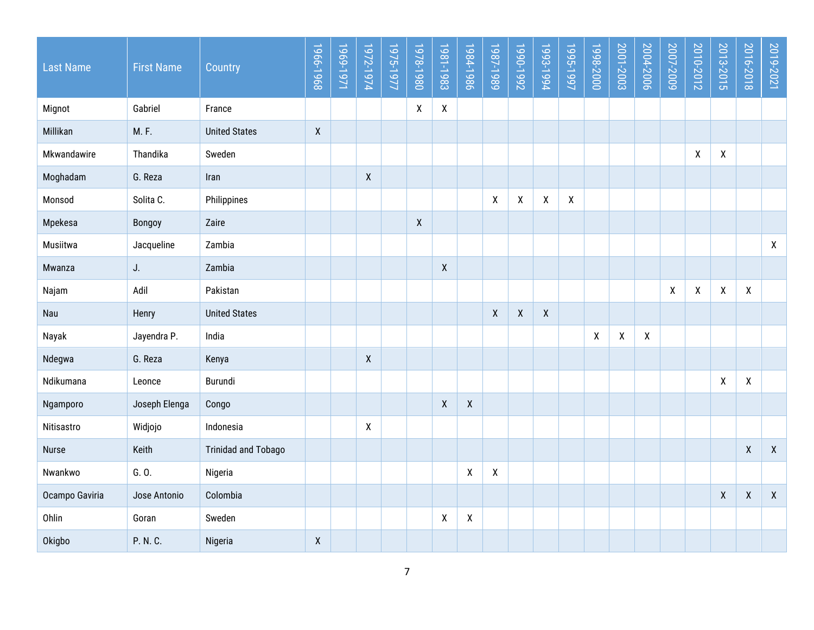| <b>Last Name</b> | <b>First Name</b> | Country                    | 1966-1968    | 1969-1971 | 1972-1974          | 1975-1977 | 1978-1980    | 1981-1983                 | 1984-1986          | 1987-1989          | 1990-1992          | 1993-1994 | 1995-1997          | 1998-2000 | 2001-2003        | 2004-2006 | 2007-2009 | 2010-2012 | 2013-2015          | 2016-2018    | 2019-2021          |
|------------------|-------------------|----------------------------|--------------|-----------|--------------------|-----------|--------------|---------------------------|--------------------|--------------------|--------------------|-----------|--------------------|-----------|------------------|-----------|-----------|-----------|--------------------|--------------|--------------------|
| Mignot           | Gabriel           | France                     |              |           |                    |           | $\mathsf{X}$ | $\pmb{\chi}$              |                    |                    |                    |           |                    |           |                  |           |           |           |                    |              |                    |
| Millikan         | M.F.              | <b>United States</b>       | $\mathsf{X}$ |           |                    |           |              |                           |                    |                    |                    |           |                    |           |                  |           |           |           |                    |              |                    |
| Mkwandawire      | Thandika          | Sweden                     |              |           |                    |           |              |                           |                    |                    |                    |           |                    |           |                  |           |           | χ         | χ                  |              |                    |
| Moghadam         | G. Reza           | Iran                       |              |           | $\mathsf{X}$       |           |              |                           |                    |                    |                    |           |                    |           |                  |           |           |           |                    |              |                    |
| Monsod           | Solita C.         | Philippines                |              |           |                    |           |              |                           |                    | χ                  | X                  | X         | $\pmb{\mathsf{X}}$ |           |                  |           |           |           |                    |              |                    |
| Mpekesa          | Bongoy            | Zaire                      |              |           |                    |           | $\mathsf{X}$ |                           |                    |                    |                    |           |                    |           |                  |           |           |           |                    |              |                    |
| Musiitwa         | Jacqueline        | Zambia                     |              |           |                    |           |              |                           |                    |                    |                    |           |                    |           |                  |           |           |           |                    |              | $\mathsf{X}^-$     |
| Mwanza           | $J_{\cdot}$       | Zambia                     |              |           |                    |           |              | $\boldsymbol{X}$          |                    |                    |                    |           |                    |           |                  |           |           |           |                    |              |                    |
| Najam            | Adil              | Pakistan                   |              |           |                    |           |              |                           |                    |                    |                    |           |                    |           |                  |           | χ         | X         | χ                  | X            |                    |
| Nau              | Henry             | <b>United States</b>       |              |           |                    |           |              |                           |                    | $\pmb{\chi}$       | $\pmb{\mathsf{X}}$ | X         |                    |           |                  |           |           |           |                    |              |                    |
| Nayak            | Jayendra P.       | India                      |              |           |                    |           |              |                           |                    |                    |                    |           |                    | X         | $\boldsymbol{X}$ | X         |           |           |                    |              |                    |
| Ndegwa           | G. Reza           | Kenya                      |              |           | $\pmb{\mathsf{X}}$ |           |              |                           |                    |                    |                    |           |                    |           |                  |           |           |           |                    |              |                    |
| Ndikumana        | Leonce            | Burundi                    |              |           |                    |           |              |                           |                    |                    |                    |           |                    |           |                  |           |           |           | χ                  | X            |                    |
| Ngamporo         | Joseph Elenga     | Congo                      |              |           |                    |           |              | $\boldsymbol{X}$          | $\pmb{\mathsf{X}}$ |                    |                    |           |                    |           |                  |           |           |           |                    |              |                    |
| Nitisastro       | Widjojo           | Indonesia                  |              |           | $\pmb{\mathsf{X}}$ |           |              |                           |                    |                    |                    |           |                    |           |                  |           |           |           |                    |              |                    |
| <b>Nurse</b>     | Keith             | <b>Trinidad and Tobago</b> |              |           |                    |           |              |                           |                    |                    |                    |           |                    |           |                  |           |           |           |                    | $\pmb{\chi}$ | $\pmb{\mathsf{X}}$ |
| Nwankwo          | G. 0.             | Nigeria                    |              |           |                    |           |              |                           | $\pmb{\mathsf{X}}$ | $\pmb{\mathsf{X}}$ |                    |           |                    |           |                  |           |           |           |                    |              |                    |
| Ocampo Gaviria   | Jose Antonio      | Colombia                   |              |           |                    |           |              |                           |                    |                    |                    |           |                    |           |                  |           |           |           | $\pmb{\mathsf{X}}$ | χ            | $\mathsf{X}$       |
| Ohlin            | Goran             | Sweden                     |              |           |                    |           |              | $\boldsymbol{\mathsf{X}}$ | Χ                  |                    |                    |           |                    |           |                  |           |           |           |                    |              |                    |
| Okigbo           | P. N. C.          | Nigeria                    | $\mathsf{X}$ |           |                    |           |              |                           |                    |                    |                    |           |                    |           |                  |           |           |           |                    |              |                    |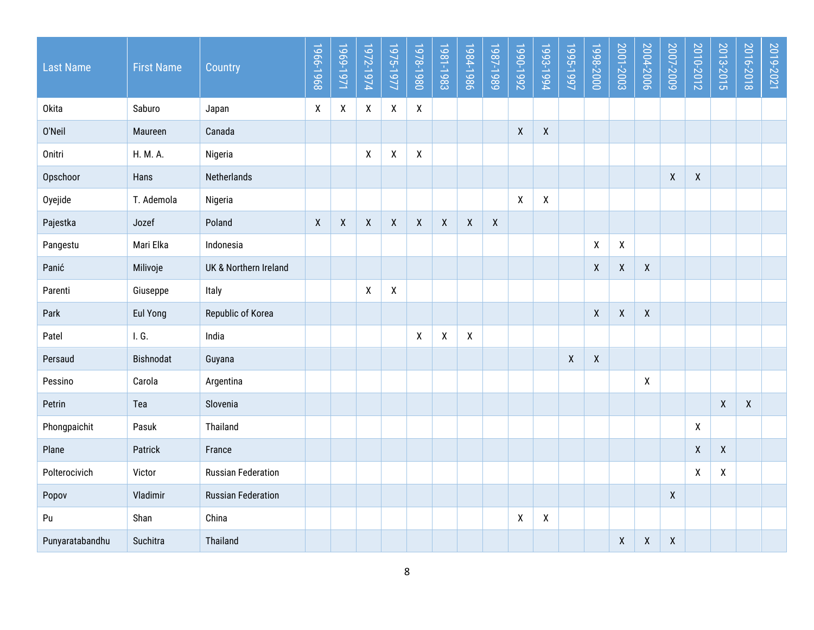| <b>Last Name</b> | <b>First Name</b> | Country                   | 1966-1968          | 1969-1971          | 1972-1974          | 1975-1977          | 1978-1980    | 1981-1983    | 1984-1986    | 1987-1989        | 1990-1992          | 1993-1994 | 1995-1997          | 1998-2000          | 2001-2003          | 2004-2006          | 2007-2009          | 2010-2012          | 2013-2015          | 2016-2018          | 2019-2021 |
|------------------|-------------------|---------------------------|--------------------|--------------------|--------------------|--------------------|--------------|--------------|--------------|------------------|--------------------|-----------|--------------------|--------------------|--------------------|--------------------|--------------------|--------------------|--------------------|--------------------|-----------|
| <b>Okita</b>     | Saburo            | Japan                     | χ                  | $\pmb{\mathsf{X}}$ | $\pmb{\mathsf{X}}$ | $\pmb{\mathsf{X}}$ | $\mathsf{X}$ |              |              |                  |                    |           |                    |                    |                    |                    |                    |                    |                    |                    |           |
| 0'Neil           | Maureen           | Canada                    |                    |                    |                    |                    |              |              |              |                  | $\pmb{\mathsf{X}}$ | χ         |                    |                    |                    |                    |                    |                    |                    |                    |           |
| Onitri           | H. M. A.          | Nigeria                   |                    |                    | X                  | χ                  | $\mathsf{X}$ |              |              |                  |                    |           |                    |                    |                    |                    |                    |                    |                    |                    |           |
| Opschoor         | Hans              | Netherlands               |                    |                    |                    |                    |              |              |              |                  |                    |           |                    |                    |                    |                    | $\pmb{\mathsf{X}}$ | $\mathsf{X}$       |                    |                    |           |
| Oyejide          | T. Ademola        | Nigeria                   |                    |                    |                    |                    |              |              |              |                  | X                  | χ         |                    |                    |                    |                    |                    |                    |                    |                    |           |
| Pajestka         | Jozef             | Poland                    | $\pmb{\mathsf{X}}$ | $\pmb{\mathsf{X}}$ | $\mathsf{X}$       | $\pmb{\mathsf{X}}$ | $\mathsf{X}$ | $\pmb{\chi}$ | $\mathsf{X}$ | $\boldsymbol{X}$ |                    |           |                    |                    |                    |                    |                    |                    |                    |                    |           |
| Pangestu         | Mari Elka         | Indonesia                 |                    |                    |                    |                    |              |              |              |                  |                    |           |                    | $\pmb{\mathsf{X}}$ | $\mathsf{X}$       |                    |                    |                    |                    |                    |           |
| Panić            | Milivoje          | UK & Northern Ireland     |                    |                    |                    |                    |              |              |              |                  |                    |           |                    | $\pmb{\mathsf{X}}$ | $\pmb{\mathsf{X}}$ | $\pmb{\mathsf{X}}$ |                    |                    |                    |                    |           |
| Parenti          | Giuseppe          | Italy                     |                    |                    | X                  | X                  |              |              |              |                  |                    |           |                    |                    |                    |                    |                    |                    |                    |                    |           |
| Park             | <b>Eul Yong</b>   | Republic of Korea         |                    |                    |                    |                    |              |              |              |                  |                    |           |                    | $\pmb{\mathsf{X}}$ | $\pmb{\mathsf{X}}$ | $\mathsf{X}$       |                    |                    |                    |                    |           |
| Patel            | I. G.             | India                     |                    |                    |                    |                    | $\pmb{\chi}$ | $\pmb{\chi}$ | $\mathsf{X}$ |                  |                    |           |                    |                    |                    |                    |                    |                    |                    |                    |           |
| Persaud          | Bishnodat         | Guyana                    |                    |                    |                    |                    |              |              |              |                  |                    |           | $\pmb{\mathsf{X}}$ | $\pmb{\mathsf{X}}$ |                    |                    |                    |                    |                    |                    |           |
| Pessino          | Carola            | Argentina                 |                    |                    |                    |                    |              |              |              |                  |                    |           |                    |                    |                    | $\mathsf{X}$       |                    |                    |                    |                    |           |
| Petrin           | Tea               | Slovenia                  |                    |                    |                    |                    |              |              |              |                  |                    |           |                    |                    |                    |                    |                    |                    | $\mathsf{X}$       | $\pmb{\mathsf{X}}$ |           |
| Phongpaichit     | Pasuk             | Thailand                  |                    |                    |                    |                    |              |              |              |                  |                    |           |                    |                    |                    |                    |                    | $\mathsf{X}$       |                    |                    |           |
| Plane            | Patrick           | France                    |                    |                    |                    |                    |              |              |              |                  |                    |           |                    |                    |                    |                    |                    | $\pmb{\mathsf{X}}$ | $\pmb{\mathsf{X}}$ |                    |           |
| Polterocivich    | Victor            | <b>Russian Federation</b> |                    |                    |                    |                    |              |              |              |                  |                    |           |                    |                    |                    |                    |                    | $\pmb{\mathsf{X}}$ | $\mathsf{X}$       |                    |           |
| Popov            | Vladimir          | <b>Russian Federation</b> |                    |                    |                    |                    |              |              |              |                  |                    |           |                    |                    |                    |                    | $\boldsymbol{X}$   |                    |                    |                    |           |
| Pu               | Shan              | China                     |                    |                    |                    |                    |              |              |              |                  | X                  | χ         |                    |                    |                    |                    |                    |                    |                    |                    |           |
| Punyaratabandhu  | Suchitra          | Thailand                  |                    |                    |                    |                    |              |              |              |                  |                    |           |                    |                    | $\pmb{\mathsf{X}}$ | $\pmb{\mathsf{X}}$ | $\pmb{\mathsf{X}}$ |                    |                    |                    |           |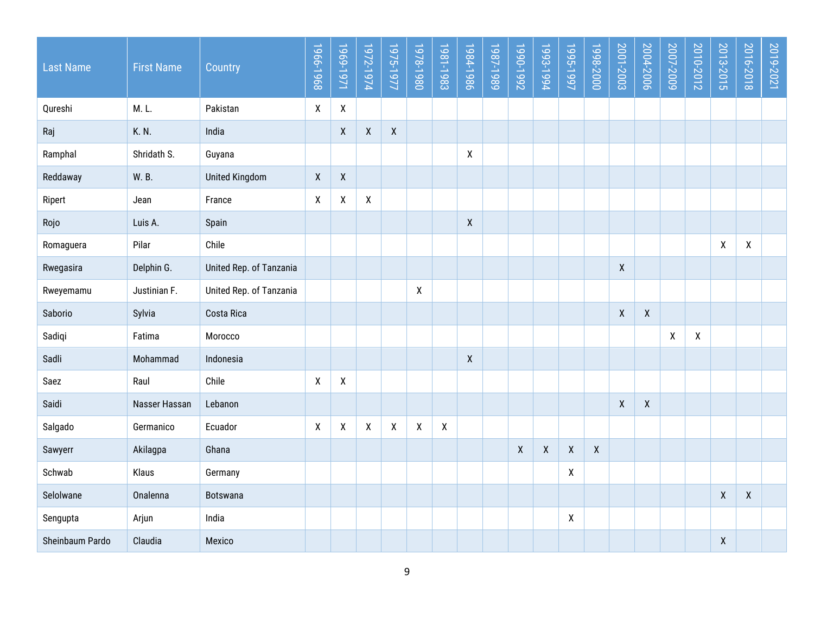| <b>Last Name</b> | <b>First Name</b> | Country                 | 1966-1968          | 1969-1971          | 1972-1974          | 1975-1977          | 1978-1980          | 1981-1983    | 1984-1986          | 1987-1989 | Z661-066L    | 1993-1994    | 1995-1997    | 1998-2000    | 2001-2003    | 2004-2006          | 2007-2009                 | 2010-2012 | 2013-2015          | 2016-2018    | 2019-2021 |
|------------------|-------------------|-------------------------|--------------------|--------------------|--------------------|--------------------|--------------------|--------------|--------------------|-----------|--------------|--------------|--------------|--------------|--------------|--------------------|---------------------------|-----------|--------------------|--------------|-----------|
| Qureshi          | M.L.              | Pakistan                | $\pmb{\mathsf{X}}$ | $\pmb{\mathsf{X}}$ |                    |                    |                    |              |                    |           |              |              |              |              |              |                    |                           |           |                    |              |           |
| Raj              | K. N.             | India                   |                    | $\pmb{\chi}$       | $\mathsf X$        | $\pmb{\mathsf{X}}$ |                    |              |                    |           |              |              |              |              |              |                    |                           |           |                    |              |           |
| Ramphal          | Shridath S.       | Guyana                  |                    |                    |                    |                    |                    |              | $\pmb{\mathsf{X}}$ |           |              |              |              |              |              |                    |                           |           |                    |              |           |
| Reddaway         | W.B.              | <b>United Kingdom</b>   | $\pmb{\mathsf{X}}$ | $\mathsf{X}$       |                    |                    |                    |              |                    |           |              |              |              |              |              |                    |                           |           |                    |              |           |
| Ripert           | Jean              | France                  | X                  | X                  | X                  |                    |                    |              |                    |           |              |              |              |              |              |                    |                           |           |                    |              |           |
| Rojo             | Luis A.           | Spain                   |                    |                    |                    |                    |                    |              | $\mathsf X$        |           |              |              |              |              |              |                    |                           |           |                    |              |           |
| Romaguera        | Pilar             | Chile                   |                    |                    |                    |                    |                    |              |                    |           |              |              |              |              |              |                    |                           |           | χ                  | X            |           |
| Rwegasira        | Delphin G.        | United Rep. of Tanzania |                    |                    |                    |                    |                    |              |                    |           |              |              |              |              | $\mathsf{X}$ |                    |                           |           |                    |              |           |
| Rweyemamu        | Justinian F.      | United Rep. of Tanzania |                    |                    |                    |                    | $\pmb{\mathsf{X}}$ |              |                    |           |              |              |              |              |              |                    |                           |           |                    |              |           |
| Saborio          | Sylvia            | Costa Rica              |                    |                    |                    |                    |                    |              |                    |           |              |              |              |              | $\mathsf{X}$ | $\mathsf{X}$       |                           |           |                    |              |           |
| Sadiqi           | Fatima            | Morocco                 |                    |                    |                    |                    |                    |              |                    |           |              |              |              |              |              |                    | $\boldsymbol{\mathsf{X}}$ | X         |                    |              |           |
| Sadli            | Mohammad          | Indonesia               |                    |                    |                    |                    |                    |              | $\mathsf{X}$       |           |              |              |              |              |              |                    |                           |           |                    |              |           |
| Saez             | Raul              | Chile                   | $\pmb{\mathsf{X}}$ | X                  |                    |                    |                    |              |                    |           |              |              |              |              |              |                    |                           |           |                    |              |           |
| Saidi            | Nasser Hassan     | Lebanon                 |                    |                    |                    |                    |                    |              |                    |           |              |              |              |              | $\mathsf{X}$ | $\pmb{\mathsf{X}}$ |                           |           |                    |              |           |
| Salgado          | Germanico         | Ecuador                 | χ                  | $\pmb{\mathsf{X}}$ | $\pmb{\mathsf{X}}$ | $\pmb{\chi}$       | $\pmb{\mathsf{X}}$ | $\mathsf{X}$ |                    |           |              |              |              |              |              |                    |                           |           |                    |              |           |
| Sawyerr          | Akilagpa          | Ghana                   |                    |                    |                    |                    |                    |              |                    |           | $\mathsf{X}$ | $\pmb{\chi}$ | $\mathsf{X}$ | $\mathsf{X}$ |              |                    |                           |           |                    |              |           |
| Schwab           | Klaus             | Germany                 |                    |                    |                    |                    |                    |              |                    |           |              |              | χ            |              |              |                    |                           |           |                    |              |           |
| Selolwane        | Onalenna          | <b>Botswana</b>         |                    |                    |                    |                    |                    |              |                    |           |              |              |              |              |              |                    |                           |           | $\mathsf{X}$       | $\mathsf{X}$ |           |
| Sengupta         | Arjun             | India                   |                    |                    |                    |                    |                    |              |                    |           |              |              | X            |              |              |                    |                           |           |                    |              |           |
| Sheinbaum Pardo  | Claudia           | Mexico                  |                    |                    |                    |                    |                    |              |                    |           |              |              |              |              |              |                    |                           |           | $\pmb{\mathsf{X}}$ |              |           |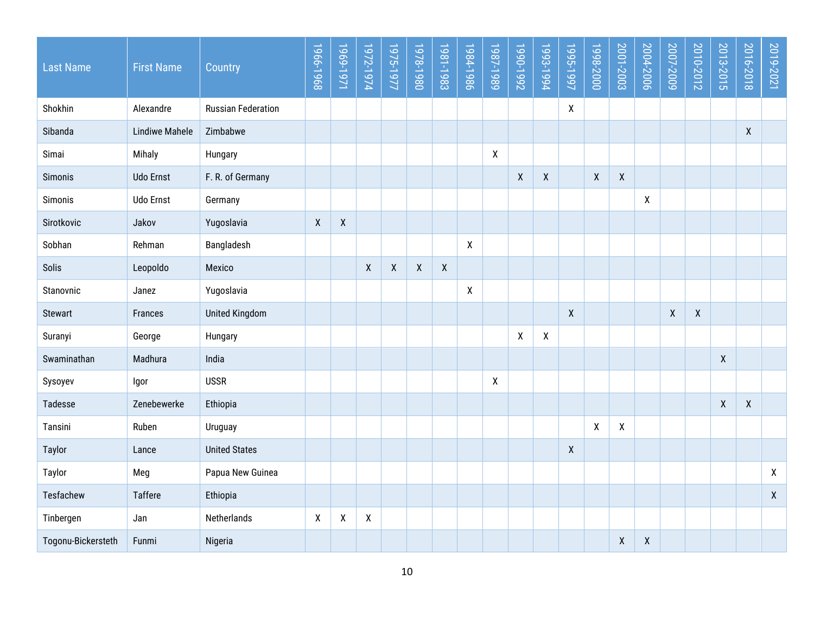| <b>Last Name</b>   | <b>First Name</b>     | Country                   | 1966-1968    | 1969-1971          | 1972-1974 | 1975-1977        | 1978-1980          | 1981-1983        | 1984-1986    | 1987-1989                 | Z661-066L    | 1993-1994          | 1995-1997          | 1998-2000    | 2001-2003    | 2004-2006          | 2007-2009    | 2010-2012          | 2013-2015    | 2016-2018          | 2019-2021          |
|--------------------|-----------------------|---------------------------|--------------|--------------------|-----------|------------------|--------------------|------------------|--------------|---------------------------|--------------|--------------------|--------------------|--------------|--------------|--------------------|--------------|--------------------|--------------|--------------------|--------------------|
| Shokhin            | Alexandre             | <b>Russian Federation</b> |              |                    |           |                  |                    |                  |              |                           |              |                    | X                  |              |              |                    |              |                    |              |                    |                    |
| Sibanda            | <b>Lindiwe Mahele</b> | Zimbabwe                  |              |                    |           |                  |                    |                  |              |                           |              |                    |                    |              |              |                    |              |                    |              | $\mathsf{X}$       |                    |
| Simai              | Mihaly                | Hungary                   |              |                    |           |                  |                    |                  |              | X                         |              |                    |                    |              |              |                    |              |                    |              |                    |                    |
| Simonis            | <b>Udo Ernst</b>      | F. R. of Germany          |              |                    |           |                  |                    |                  |              |                           | X            | $\pmb{\mathsf{X}}$ |                    | $\pmb{\chi}$ | $\mathsf{X}$ |                    |              |                    |              |                    |                    |
| Simonis            | <b>Udo Ernst</b>      | Germany                   |              |                    |           |                  |                    |                  |              |                           |              |                    |                    |              |              | $\pmb{\mathsf{X}}$ |              |                    |              |                    |                    |
| Sirotkovic         | Jakov                 | Yugoslavia                | $\mathsf{X}$ | $\pmb{\mathsf{X}}$ |           |                  |                    |                  |              |                           |              |                    |                    |              |              |                    |              |                    |              |                    |                    |
| Sobhan             | Rehman                | Bangladesh                |              |                    |           |                  |                    |                  | $\mathsf{X}$ |                           |              |                    |                    |              |              |                    |              |                    |              |                    |                    |
| Solis              | Leopoldo              | Mexico                    |              |                    | X         | $\boldsymbol{X}$ | $\pmb{\mathsf{X}}$ | $\boldsymbol{X}$ |              |                           |              |                    |                    |              |              |                    |              |                    |              |                    |                    |
| Stanovnic          | Janez                 | Yugoslavia                |              |                    |           |                  |                    |                  | $\mathsf{X}$ |                           |              |                    |                    |              |              |                    |              |                    |              |                    |                    |
| Stewart            | Frances               | <b>United Kingdom</b>     |              |                    |           |                  |                    |                  |              |                           |              |                    | $\pmb{\mathsf{X}}$ |              |              |                    | $\pmb{\chi}$ | $\pmb{\mathsf{X}}$ |              |                    |                    |
| Suranyi            | George                | Hungary                   |              |                    |           |                  |                    |                  |              |                           | $\mathsf{X}$ | $\pmb{\mathsf{X}}$ |                    |              |              |                    |              |                    |              |                    |                    |
| Swaminathan        | Madhura               | India                     |              |                    |           |                  |                    |                  |              |                           |              |                    |                    |              |              |                    |              |                    | $\mathsf{X}$ |                    |                    |
| Sysoyev            | Igor                  | <b>USSR</b>               |              |                    |           |                  |                    |                  |              | $\boldsymbol{\mathsf{X}}$ |              |                    |                    |              |              |                    |              |                    |              |                    |                    |
| Tadesse            | Zenebewerke           | Ethiopia                  |              |                    |           |                  |                    |                  |              |                           |              |                    |                    |              |              |                    |              |                    | $\mathsf{X}$ | $\pmb{\mathsf{X}}$ |                    |
| Tansini            | Ruben                 | Uruguay                   |              |                    |           |                  |                    |                  |              |                           |              |                    |                    | $\pmb{\chi}$ | $\mathsf{X}$ |                    |              |                    |              |                    |                    |
| Taylor             | Lance                 | <b>United States</b>      |              |                    |           |                  |                    |                  |              |                           |              |                    | $\pmb{\mathsf{X}}$ |              |              |                    |              |                    |              |                    |                    |
| Taylor             | Meg                   | Papua New Guinea          |              |                    |           |                  |                    |                  |              |                           |              |                    |                    |              |              |                    |              |                    |              |                    | $\pmb{\mathsf{X}}$ |
| Tesfachew          | Taffere               | Ethiopia                  |              |                    |           |                  |                    |                  |              |                           |              |                    |                    |              |              |                    |              |                    |              |                    | $\mathsf{X}$       |
| Tinbergen          | Jan                   | Netherlands               | χ            | $\pmb{\mathsf{X}}$ | χ         |                  |                    |                  |              |                           |              |                    |                    |              |              |                    |              |                    |              |                    |                    |
| Togonu-Bickersteth | Funmi                 | Nigeria                   |              |                    |           |                  |                    |                  |              |                           |              |                    |                    |              | X            | X                  |              |                    |              |                    |                    |